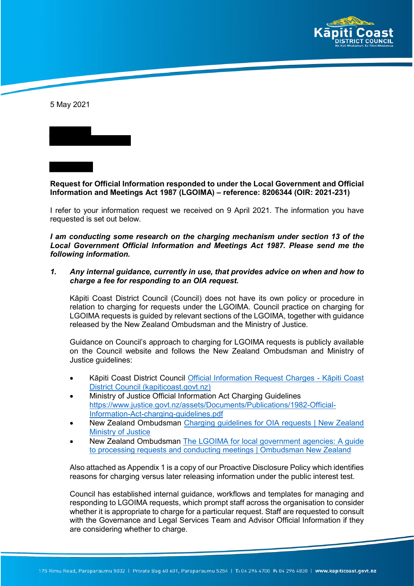

5 May 2021

**Request for Official Information responded to under the Local Government and Official Information and Meetings Act 1987 (LGOIMA) – reference: 8206344 (OIR: 2021-231)**

I refer to your information request we received on 9 April 2021. The information you have requested is set out below.

*I am conducting some research on the charging mechanism under section 13 of the Local Government Official Information and Meetings Act 1987. Please send me the following information.*

*1. Any internal guidance, currently in use, that provides advice on when and how to charge a fee for responding to an OIA request.*

Kāpiti Coast District Council (Council) does not have its own policy or procedure in relation to charging for requests under the LGOIMA. Council practice on charging for LGOIMA requests is guided by relevant sections of the LGOIMA, together with guidance released by the New Zealand Ombudsman and the Ministry of Justice.

Guidance on Council's approach to charging for LGOIMA requests is publicly available on the Council website and follows the New Zealand Ombudsman and Ministry of Justice guidelines:

- Kāpiti Coast District Council Official Information Request Charges Kāpiti Coast District Council (kapiticoast.govt.nz)
- Ministry of Justice Official Information Act Charging Guidelines https://www.justice.govt.nz/assets/Documents/Publications/1982-Official-Information-Act-charging-guidelines.pdf
- New Zealand Ombudsman Charging guidelines for OIA requests | New Zealand Ministry of Justice
- New Zealand Ombudsman The LGOIMA for local government agencies: A guide to processing requests and conducting meetings | Ombudsman New Zealand

Also attached as Appendix 1 is a copy of our Proactive Disclosure Policy which identifies reasons for charging versus later releasing information under the public interest test.

Council has established internal guidance, workflows and templates for managing and responding to LGOIMA requests, which prompt staff across the organisation to consider whether it is appropriate to charge for a particular request. Staff are requested to consult with the Governance and Legal Services Team and Advisor Official Information if they are considering whether to charge.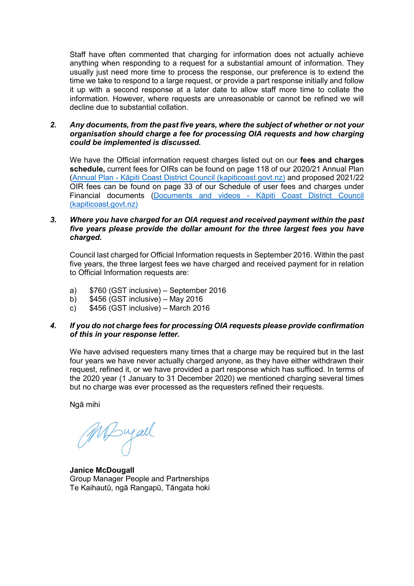Staff have often commented that charging for information does not actually achieve anything when responding to a request for a substantial amount of information. They usually just need more time to process the response, our preference is to extend the time we take to respond to a large request, or provide a part response initially and follow it up with a second response at a later date to allow staff more time to collate the information. However, where requests are unreasonable or cannot be refined we will decline due to substantial collation.

#### *2. Any documents, from the past five years, where the subject of whether or not your organisation should charge a fee for processing OIA requests and how charging could be implemented is discussed.*

We have the Official information request charges listed out on our **fees and charges schedule,** current fees for OIRs can be found on page 118 of our 2020/21 Annual Plan (Annual Plan - Kāpiti Coast District Council (kapiticoast.govt.nz) and proposed 2021/22 OIR fees can be found on page 33 of our Schedule of user fees and charges under Financial documents (Documents and videos - Kāpiti Coast District Council (kapiticoast.govt.nz)

### *3. Where you have charged for an OIA request and received payment within the past five years please provide the dollar amount for the three largest fees you have charged.*

Council last charged for Official Information requests in September 2016. Within the past five years, the three largest fees we have charged and received payment for in relation to Official Information requests are:

- a) \$760 (GST inclusive) September 2016
- b) \$456 (GST inclusive) May 2016<br>c) \$456 (GST inclusive) March 201
- $$456$  (GST inclusive) March 2016

## *4. If you do not charge fees for processing OIA requests please provide confirmation of this in your response letter.*

We have advised requesters many times that a charge may be required but in the last four years we have never actually charged anyone, as they have either withdrawn their request, refined it, or we have provided a part response which has sufficed. In terms of the 2020 year (1 January to 31 December 2020) we mentioned charging several times but no charge was ever processed as the requesters refined their requests.

Ngā mihi

MDwall

**Janice McDougall** Group Manager People and Partnerships Te Kaihautū, ngā Rangapū, Tāngata hoki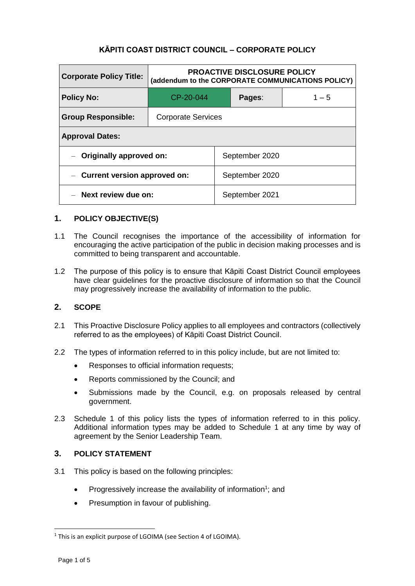# **KĀPITI COAST DISTRICT COUNCIL – CORPORATE POLICY**

| <b>Corporate Policy Title:</b>                    | <b>PROACTIVE DISCLOSURE POLICY</b><br>(addendum to the CORPORATE COMMUNICATIONS POLICY) |                |                |         |  |
|---------------------------------------------------|-----------------------------------------------------------------------------------------|----------------|----------------|---------|--|
| <b>Policy No:</b>                                 | CP-20-044                                                                               |                | Pages:         | $1 - 5$ |  |
| <b>Group Responsible:</b>                         | <b>Corporate Services</b>                                                               |                |                |         |  |
| <b>Approval Dates:</b>                            |                                                                                         |                |                |         |  |
| Originally approved on:                           |                                                                                         | September 2020 |                |         |  |
| Current version approved on:<br>$\qquad \qquad -$ |                                                                                         | September 2020 |                |         |  |
| Next review due on:                               |                                                                                         |                | September 2021 |         |  |

## **1. POLICY OBJECTIVE(S)**

- 1.1 The Council recognises the importance of the accessibility of information for encouraging the active participation of the public in decision making processes and is committed to being transparent and accountable.
- 1.2 The purpose of this policy is to ensure that Kāpiti Coast District Council employees have clear guidelines for the proactive disclosure of information so that the Council may progressively increase the availability of information to the public.

### **2. SCOPE**

- 2.1 This Proactive Disclosure Policy applies to all employees and contractors (collectively referred to as the employees) of Kāpiti Coast District Council.
- 2.2 The types of information referred to in this policy include, but are not limited to:
	- Responses to official information requests;
	- Reports commissioned by the Council; and
	- Submissions made by the Council, e.g. on proposals released by central government.
- 2.3 Schedule 1 of this policy lists the types of information referred to in this policy. Additional information types may be added to Schedule 1 at any time by way of agreement by the Senior Leadership Team.

### **3. POLICY STATEMENT**

- 3.1 This policy is based on the following principles:
	- Progressively increase the availability of information<sup>1</sup>; and
	- Presumption in favour of publishing.

-

<sup>&</sup>lt;sup>1</sup> This is an explicit purpose of LGOIMA (see Section 4 of LGOIMA).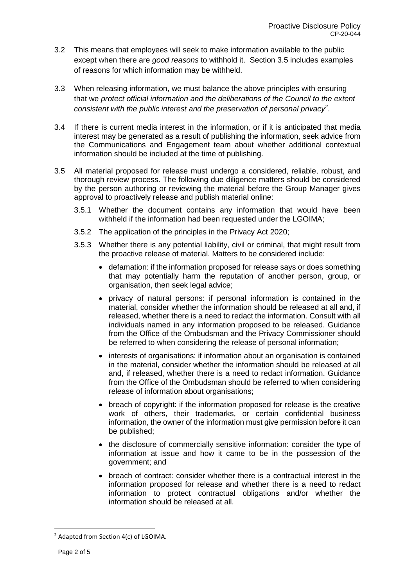- 3.2 This means that employees will seek to make information available to the public except when there are *good reasons* to withhold it. Section 3.5 includes examples of reasons for which information may be withheld.
- 3.3 When releasing information, we must balance the above principles with ensuring that we *protect official information and the deliberations of the Council to the extent consistent with the public interest and the preservation of personal privacy<sup>2</sup>* .
- 3.4 If there is current media interest in the information, or if it is anticipated that media interest may be generated as a result of publishing the information, seek advice from the Communications and Engagement team about whether additional contextual information should be included at the time of publishing.
- 3.5 All material proposed for release must undergo a considered, reliable, robust, and thorough review process. The following due diligence matters should be considered by the person authoring or reviewing the material before the Group Manager gives approval to proactively release and publish material online:
	- 3.5.1 Whether the document contains any information that would have been withheld if the information had been requested under the LGOIMA;
	- 3.5.2 The application of the principles in the Privacy Act 2020;
	- 3.5.3 Whether there is any potential liability, civil or criminal, that might result from the proactive release of material. Matters to be considered include:
		- defamation: if the information proposed for release says or does something that may potentially harm the reputation of another person, group, or organisation, then seek legal advice;
		- privacy of natural persons: if personal information is contained in the material, consider whether the information should be released at all and, if released, whether there is a need to redact the information. Consult with all individuals named in any information proposed to be released. Guidance from the Office of the Ombudsman and the Privacy Commissioner should be referred to when considering the release of personal information;
		- interests of organisations: if information about an organisation is contained in the material, consider whether the information should be released at all and, if released, whether there is a need to redact information. Guidance from the Office of the Ombudsman should be referred to when considering release of information about organisations;
		- breach of copyright: if the information proposed for release is the creative work of others, their trademarks, or certain confidential business information, the owner of the information must give permission before it can be published;
		- the disclosure of commercially sensitive information: consider the type of information at issue and how it came to be in the possession of the government; and
		- breach of contract: consider whether there is a contractual interest in the information proposed for release and whether there is a need to redact information to protect contractual obligations and/or whether the information should be released at all.

-

<sup>&</sup>lt;sup>2</sup> Adapted from Section 4(c) of LGOIMA.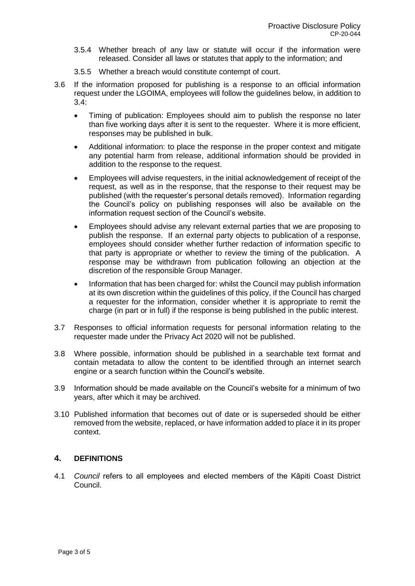- 3.5.4 Whether breach of any law or statute will occur if the information were released. Consider all laws or statutes that apply to the information; and
- 3.5.5 Whether a breach would constitute contempt of court.
- 3.6 If the information proposed for publishing is a response to an official information request under the LGOIMA, employees will follow the guidelines below, in addition to 3.4:
	- Timing of publication: Employees should aim to publish the response no later than five working days after it is sent to the requester. Where it is more efficient, responses may be published in bulk.
	- Additional information: to place the response in the proper context and mitigate any potential harm from release, additional information should be provided in addition to the response to the request.
	- Employees will advise requesters, in the initial acknowledgement of receipt of the request, as well as in the response, that the response to their request may be published (with the requester's personal details removed). Information regarding the Council's policy on publishing responses will also be available on the information request section of the Council's website.
	- Employees should advise any relevant external parties that we are proposing to publish the response. If an external party objects to publication of a response, employees should consider whether further redaction of information specific to that party is appropriate or whether to review the timing of the publication. A response may be withdrawn from publication following an objection at the discretion of the responsible Group Manager.
	- Information that has been charged for: whilst the Council may publish information at its own discretion within the guidelines of this policy, if the Council has charged a requester for the information, consider whether it is appropriate to remit the charge (in part or in full) if the response is being published in the public interest.
- 3.7 Responses to official information requests for personal information relating to the requester made under the Privacy Act 2020 will not be published.
- 3.8 Where possible, information should be published in a searchable text format and contain metadata to allow the content to be identified through an internet search engine or a search function within the Council's website.
- 3.9 Information should be made available on the Council's website for a minimum of two years, after which it may be archived.
- 3.10 Published information that becomes out of date or is superseded should be either removed from the website, replaced, or have information added to place it in its proper context.

### **4. DEFINITIONS**

4.1 *Council* refers to all employees and elected members of the Kāpiti Coast District Council.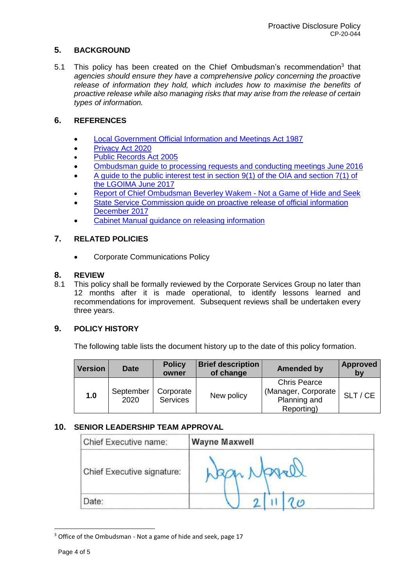# **5. BACKGROUND**

5.1 This policy has been created on the Chief Ombudsman's recommendation<sup>3</sup> that *agencies should ensure they have a comprehensive policy concerning the proactive release of information they hold, which includes how to maximise the benefits of proactive release while also managing risks that may arise from the release of certain types of information.*

# **6. REFERENCES**

- Local Government Official Information and Meetings Act 1987
- Privacy Act 2020
- Public Records Act 2005
- o Ombudsman quide to processing requests and conducting meetings June 2016
- A guide to the public interest test in section 9(1) of the OIA and section 7(1) of the LGOIMA June 2017
- Report of Chief Ombudsman Beverley Wakem Not a Game of Hide and Seek
- State Service Commission guide on proactive release of official information December 2017
- Cabinet Manual guidance on releasing information

## **7. RELATED POLICIES**

• Corporate Communications Policy

### **8. REVIEW**

8.1 This policy shall be formally reviewed by the Corporate Services Group no later than 12 months after it is made operational, to identify lessons learned and recommendations for improvement. Subsequent reviews shall be undertaken every three years.

### **9. POLICY HISTORY**

The following table lists the document history up to the date of this policy formation.

| <b>Version</b> | Date              | <b>Policy</b><br>owner       | <b>Brief description</b><br>of change | <b>Amended by</b>                                                        | Approved<br>bv |
|----------------|-------------------|------------------------------|---------------------------------------|--------------------------------------------------------------------------|----------------|
| 1.0            | September<br>2020 | Corporate<br><b>Services</b> | New policy                            | <b>Chris Pearce</b><br>(Manager, Corporate<br>Planning and<br>Reporting) | SLT / CE       |

### **10. SENIOR LEADERSHIP TEAM APPROVAL**

| Chief Executive name:      | <b>Wayne Maxwell</b> |
|----------------------------|----------------------|
| Chief Executive signature: | Wagn Navell          |
| Date:                      | $\omega$             |

-

<sup>&</sup>lt;sup>3</sup> Office of the Ombudsman - Not a game of hide and seek, page 17